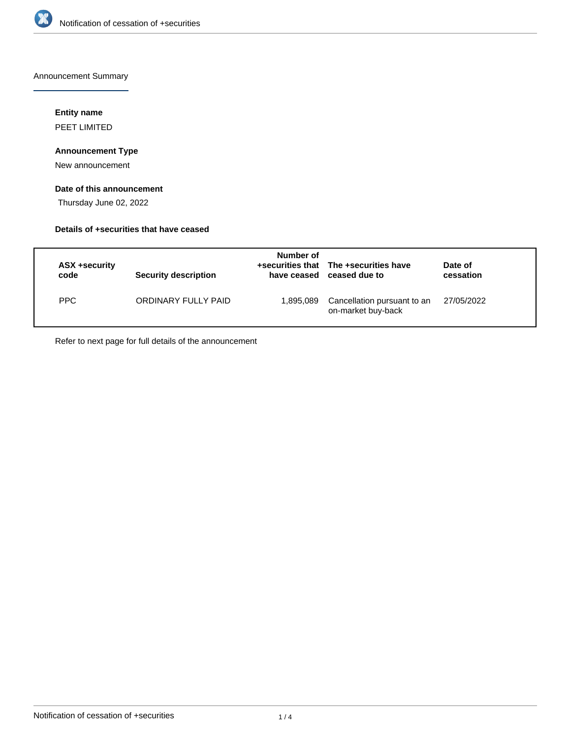

Announcement Summary

## **Entity name**

PEET LIMITED

## **Announcement Type**

New announcement

## **Date of this announcement**

Thursday June 02, 2022

## **Details of +securities that have ceased**

| ASX +security<br>code | <b>Security description</b> | Number of<br>have ceased | +securities that The +securities have<br>ceased due to | Date of<br>cessation |
|-----------------------|-----------------------------|--------------------------|--------------------------------------------------------|----------------------|
| PPC                   | ORDINARY FULLY PAID         | 1,895,089                | Cancellation pursuant to an<br>on-market buy-back      | 27/05/2022           |

Refer to next page for full details of the announcement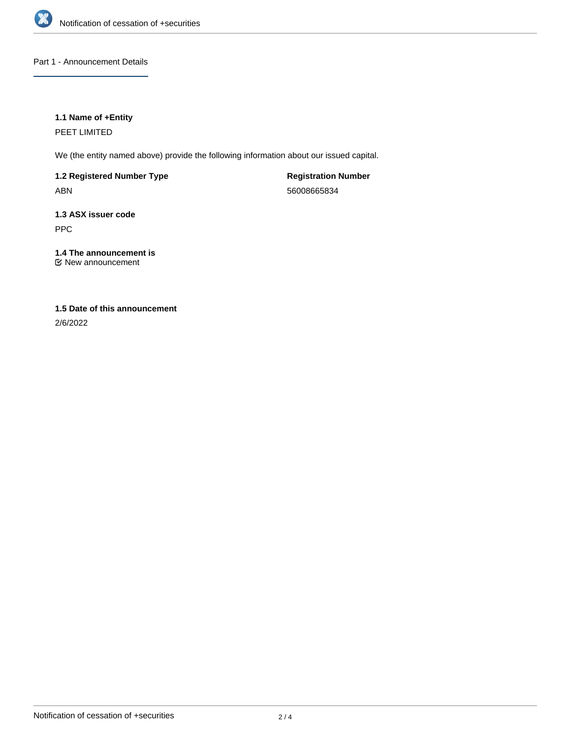

Part 1 - Announcement Details

## **1.1 Name of +Entity**

PEET LIMITED

We (the entity named above) provide the following information about our issued capital.

**1.2 Registered Number Type** ABN

**Registration Number** 56008665834

**1.3 ASX issuer code** PPC

**1.4 The announcement is** New announcement

# **1.5 Date of this announcement**

2/6/2022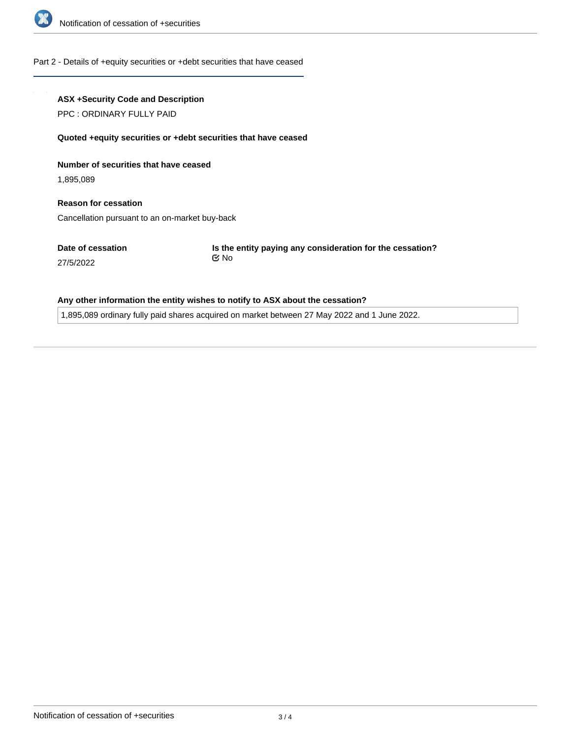

#### Part 2 - Details of +equity securities or +debt securities that have ceased

## **ASX +Security Code and Description**

PPC : ORDINARY FULLY PAID

#### **Quoted +equity securities or +debt securities that have ceased**

**Number of securities that have ceased**

1,895,089

27/5/2022

**Reason for cessation** Cancellation pursuant to an on-market buy-back

**Date of cessation**

**Is the entity paying any consideration for the cessation?** No

## **Any other information the entity wishes to notify to ASX about the cessation?**

1,895,089 ordinary fully paid shares acquired on market between 27 May 2022 and 1 June 2022.